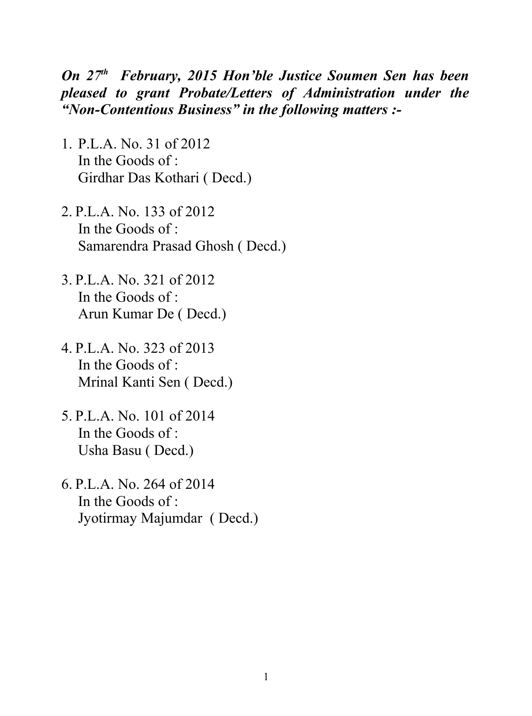## *On 27th February, 2015 Hon'ble Justice Soumen Sen has been pleased to grant Probate/Letters of Administration under the "Non-Contentious Business" in the following matters :-*

- 1. P.L.A. No. 31 of 2012 In the Goods of : Girdhar Das Kothari ( Decd.)
- 2. P.L.A. No. 133 of 2012 In the Goods of : Samarendra Prasad Ghosh ( Decd.)
- 3. P.L.A. No. 321 of 2012 In the Goods of : Arun Kumar De ( Decd.)
- 4. P.L.A. No. 323 of 2013 In the Goods of : Mrinal Kanti Sen ( Decd.)
- 5. P.L.A. No. 101 of 2014 In the Goods of : Usha Basu ( Decd.)
- 6. P.L.A. No. 264 of 2014 In the Goods of : Jyotirmay Majumdar ( Decd.)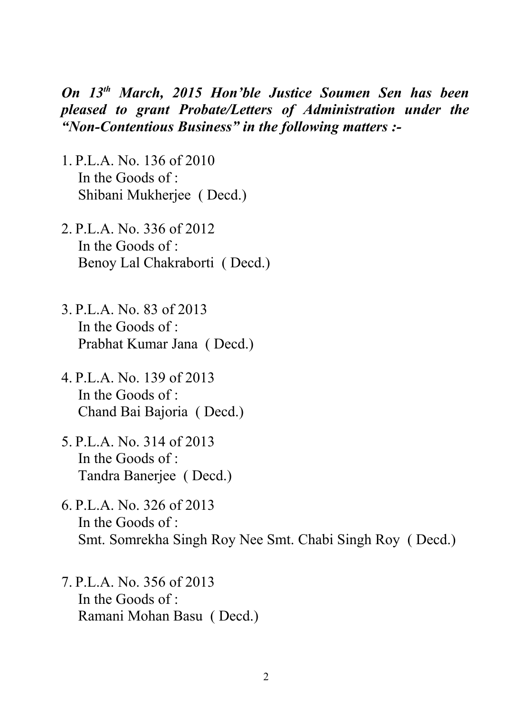*On 13th March, 2015 Hon'ble Justice Soumen Sen has been pleased to grant Probate/Letters of Administration under the "Non-Contentious Business" in the following matters :-*

- 1. P.L.A. No. 136 of 2010 In the Goods of : Shibani Mukherjee ( Decd.)
- 2. P.L.A. No. 336 of 2012 In the Goods of  $\cdot$ Benoy Lal Chakraborti ( Decd.)
- 3. P.L.A. No. 83 of 2013 In the Goods of : Prabhat Kumar Jana ( Decd.)
- 4. P.L.A. No. 139 of 2013 In the Goods of : Chand Bai Bajoria ( Decd.)
- 5. P.L.A. No. 314 of 2013 In the Goods of : Tandra Banerjee ( Decd.)
- 6. P.L.A. No. 326 of 2013 In the Goods of : Smt. Somrekha Singh Roy Nee Smt. Chabi Singh Roy ( Decd.)
- 7. P.L.A. No. 356 of 2013 In the Goods of : Ramani Mohan Basu ( Decd.)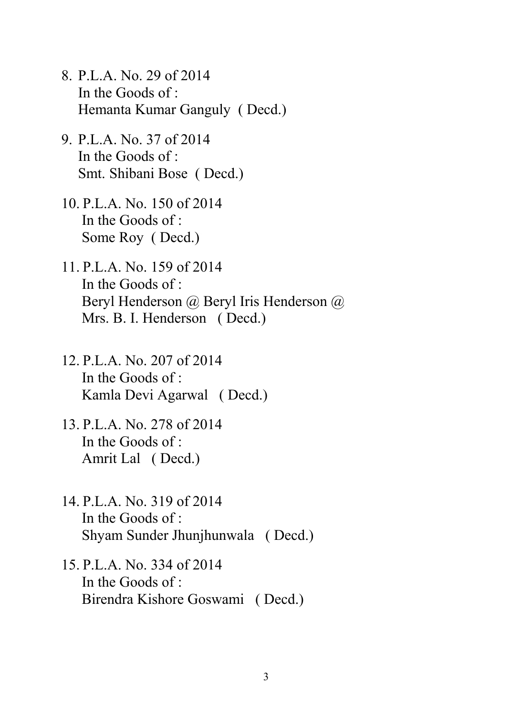- 8. P.L.A. No. 29 of 2014 In the Goods of : Hemanta Kumar Ganguly ( Decd.)
- 9. P.L.A. No. 37 of 2014 In the Goods of : Smt. Shibani Bose ( Decd.)
- 10. P.L.A. No. 150 of 2014 In the Goods of : Some Roy ( Decd.)
- 11. P.L.A. No. 159 of 2014 In the Goods of : Beryl Henderson @ Beryl Iris Henderson @ Mrs. B. I. Henderson ( Decd.)
- 12. P.L.A. No. 207 of 2014 In the Goods of : Kamla Devi Agarwal ( Decd.)
- 13. P.L.A. No. 278 of 2014 In the Goods of : Amrit Lal ( Decd.)
- 14. P.L.A. No. 319 of 2014 In the Goods of : Shyam Sunder Jhunjhunwala ( Decd.)
- 15. P.L.A. No. 334 of 2014 In the Goods of : Birendra Kishore Goswami ( Decd.)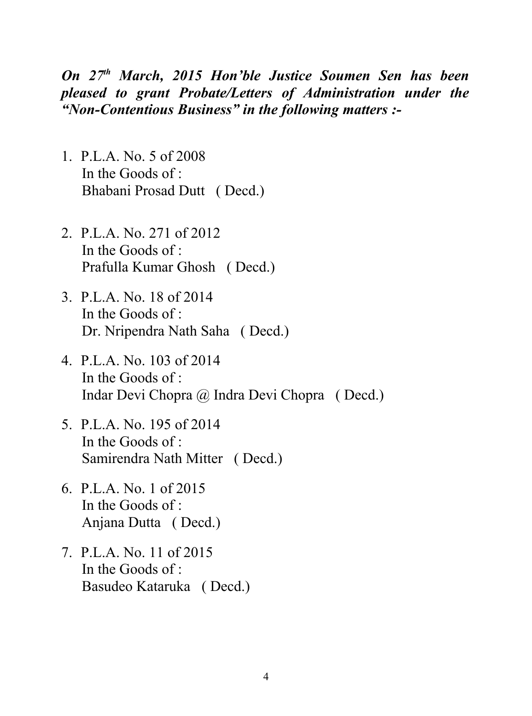## *On 27th March, 2015 Hon'ble Justice Soumen Sen has been pleased to grant Probate/Letters of Administration under the "Non-Contentious Business" in the following matters :-*

- 1. P.L.A. No. 5 of 2008 In the Goods of : Bhabani Prosad Dutt ( Decd.)
- 2. P.L.A. No. 271 of 2012 In the Goods of  $\cdot$ Prafulla Kumar Ghosh ( Decd.)
- 3. P.L.A. No. 18 of 2014 In the Goods of : Dr. Nripendra Nath Saha ( Decd.)
- 4. P.L.A. No. 103 of 2014 In the Goods of : Indar Devi Chopra @ Indra Devi Chopra ( Decd.)
- 5. P.L.A. No. 195 of 2014 In the Goods of  $\cdot$ Samirendra Nath Mitter ( Decd.)
- 6. P.L.A. No. 1 of 2015 In the Goods of : Anjana Dutta ( Decd.)
- 7. P.L.A. No. 11 of 2015 In the Goods of : Basudeo Kataruka ( Decd.)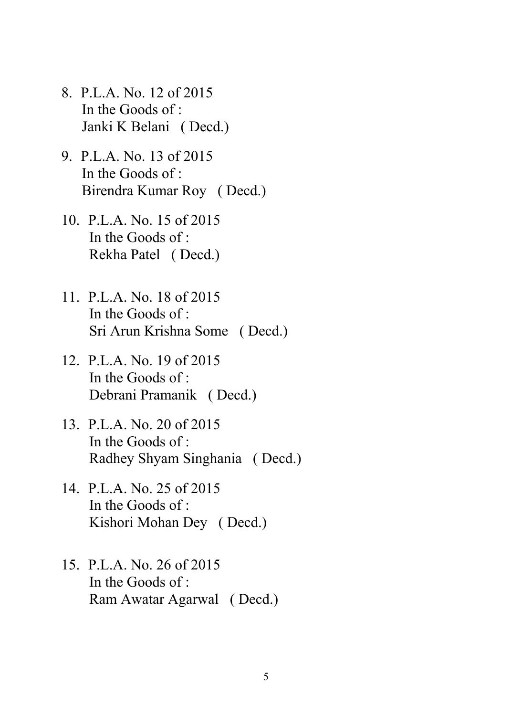- 8. P.L.A. No. 12 of 2015 In the Goods of : Janki K Belani ( Decd.)
- 9. P.L.A. No. 13 of 2015 In the Goods of : Birendra Kumar Roy ( Decd.)
- 10. P.L.A. No. 15 of 2015 In the Goods of : Rekha Patel ( Decd.)
- 11. P.L.A. No. 18 of 2015 In the Goods of : Sri Arun Krishna Some ( Decd.)
- 12. P.L.A. No. 19 of 2015 In the Goods of : Debrani Pramanik ( Decd.)
- 13. P.L.A. No. 20 of 2015 In the Goods of : Radhey Shyam Singhania ( Decd.)
- 14. P.L.A. No. 25 of 2015 In the Goods of : Kishori Mohan Dey ( Decd.)
- 15. P.L.A. No. 26 of 2015 In the Goods of : Ram Awatar Agarwal ( Decd.)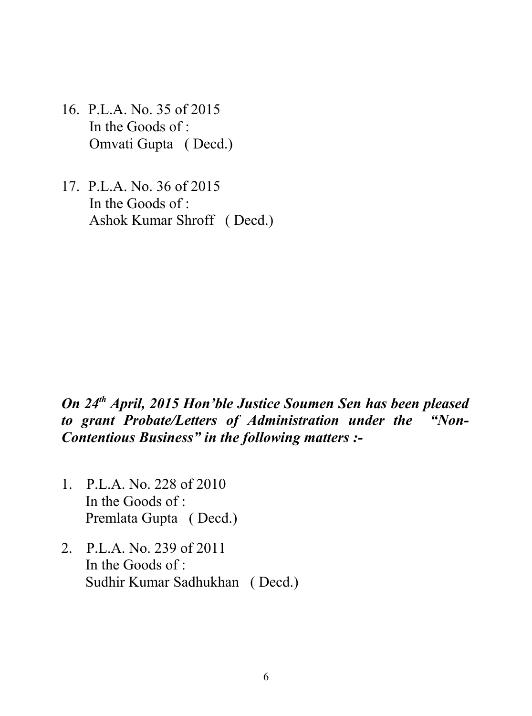- 16. P.L.A. No. 35 of 2015 In the Goods of : Omvati Gupta ( Decd.)
- 17. P.L.A. No. 36 of 2015 In the Goods of : Ashok Kumar Shroff ( Decd.)

## *On 24th April, 2015 Hon'ble Justice Soumen Sen has been pleased to grant Probate/Letters of Administration under the "Non-Contentious Business" in the following matters :-*

- 1. P.L.A. No. 228 of 2010 In the Goods of : Premlata Gupta ( Decd.)
- 2. P.L.A. No. 239 of 2011 In the Goods of : Sudhir Kumar Sadhukhan ( Decd.)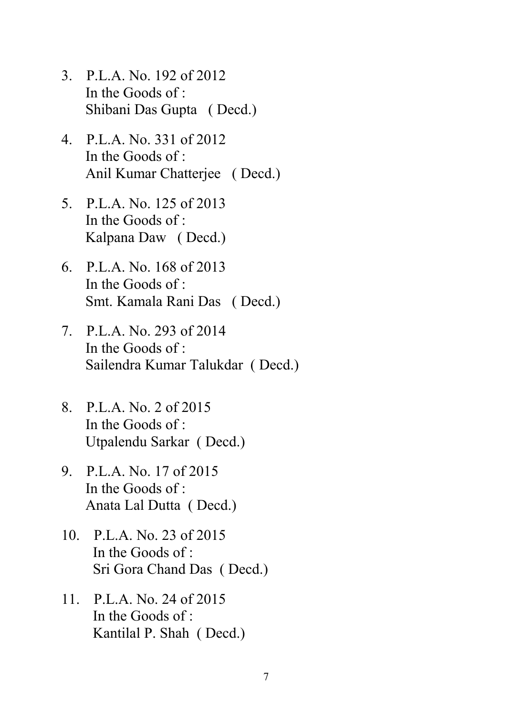- 3. P.L.A. No. 192 of 2012 In the Goods of : Shibani Das Gupta ( Decd.)
- 4. P.L.A. No. 331 of 2012 In the Goods of : Anil Kumar Chatterjee ( Decd.)
- 5. P.L.A. No. 125 of 2013 In the Goods of : Kalpana Daw ( Decd.)
- 6. P.L.A. No. 168 of 2013 In the Goods of : Smt. Kamala Rani Das ( Decd.)
- 7. P.L.A. No. 293 of 2014 In the Goods of : Sailendra Kumar Talukdar ( Decd.)
- 8. P.L.A. No. 2 of 2015 In the Goods of : Utpalendu Sarkar ( Decd.)
- 9. P.L.A. No. 17 of 2015 In the Goods of : Anata Lal Dutta ( Decd.)
- 10. P.L.A. No. 23 of 2015 In the Goods of : Sri Gora Chand Das ( Decd.)
- 11. P.L.A. No. 24 of 2015 In the Goods of : Kantilal P. Shah ( Decd.)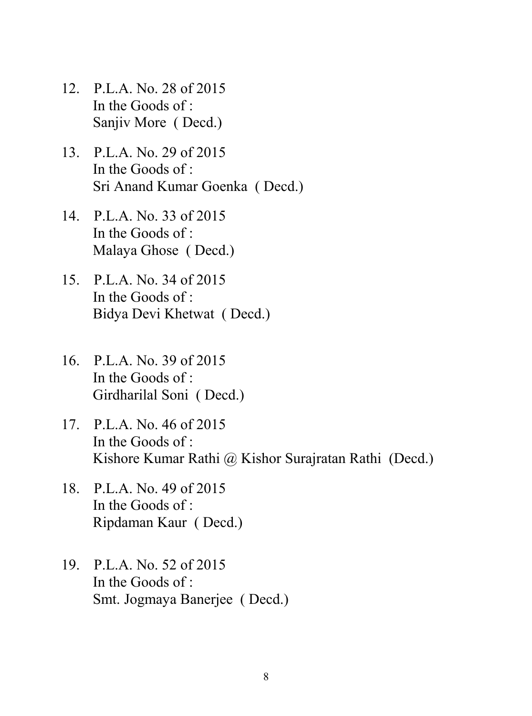- 12. P.L.A. No. 28 of 2015 In the Goods of : Sanjiv More ( Decd.)
- 13. P.L.A. No. 29 of 2015 In the Goods of : Sri Anand Kumar Goenka ( Decd.)
- 14. P.L.A. No. 33 of 2015 In the Goods of : Malaya Ghose ( Decd.)
- 15. P.L.A. No. 34 of 2015 In the Goods of : Bidya Devi Khetwat ( Decd.)
- 16. P.L.A. No. 39 of 2015 In the Goods of : Girdharilal Soni ( Decd.)
- 17. P.L.A. No. 46 of 2015 In the Goods of : Kishore Kumar Rathi @ Kishor Surajratan Rathi (Decd.)
- 18. P.L.A. No. 49 of 2015 In the Goods of : Ripdaman Kaur ( Decd.)
- 19. P.L.A. No. 52 of 2015 In the Goods of : Smt. Jogmaya Banerjee ( Decd.)